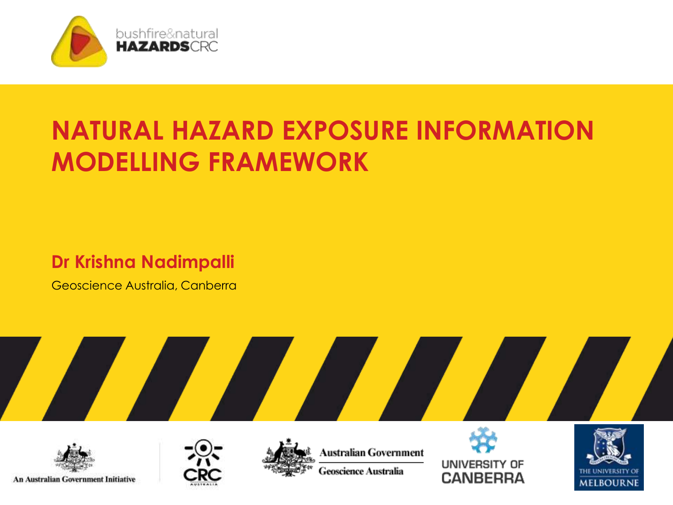

# **NATURAL HAZARD EXPOSURE INFORMATION MODELLING FRAMEWORK**

#### **Dr Krishna Nadimpalli**

Geoscience Australia, Canberra







Australian Government **Geoscience Australia** 



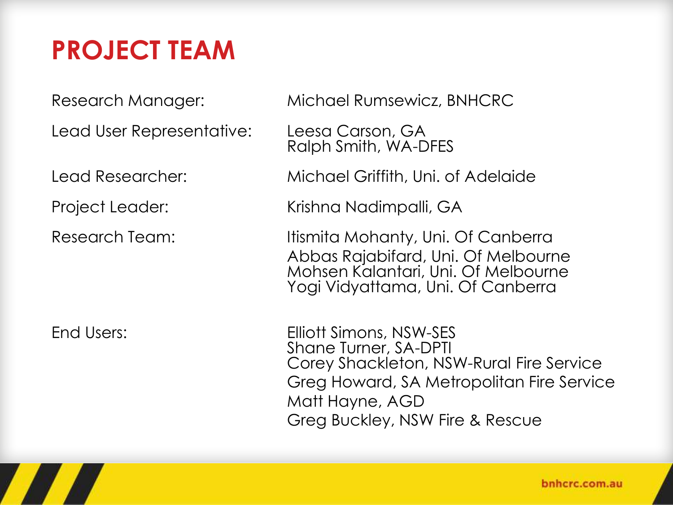# **PROJECT TEAM**

Lead User Representative: Leesa Carson, GA

Research Manager: Michael Rumsewicz, BNHCRC

Ralph Smith, WA-DFES

Lead Researcher: Michael Griffith, Uni. of Adelaide

Project Leader: Krishna Nadimpalli, GA

Research Team: Itismita Mohanty, Uni. Of Canberra Abbas Rajabifard, Uni. Of Melbourne Mohsen Kalantari, Uni. Of Melbourne Yogi Vidyattama, Uni. Of Canberra

End Users: Elliott Simons, NSW-SES Shane Turner, SA-DPTI Corey Shackleton, NSW-Rural Fire Service Greg Howard, SA Metropolitan Fire Service Matt Hayne, AGD Greg Buckley, NSW Fire & Rescue

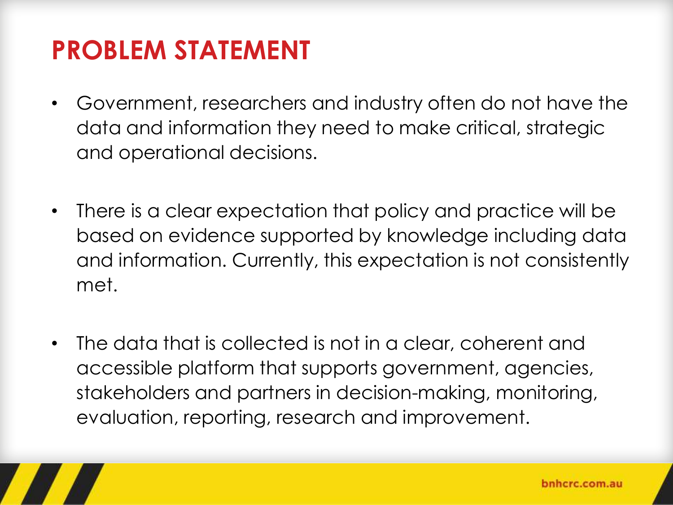# **PROBLEM STATEMENT**

- Government, researchers and industry often do not have the data and information they need to make critical, strategic and operational decisions.
- There is a clear expectation that policy and practice will be based on evidence supported by knowledge including data and information. Currently, this expectation is not consistently met.
- The data that is collected is not in a clear, coherent and accessible platform that supports government, agencies, stakeholders and partners in decision-making, monitoring, evaluation, reporting, research and improvement.

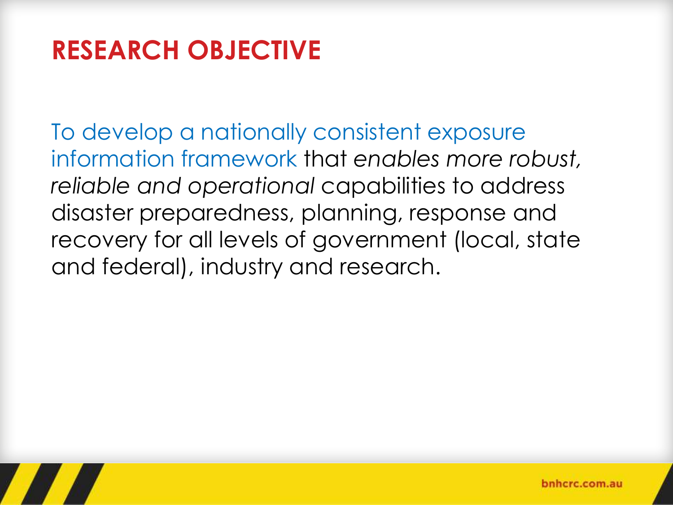# **RESEARCH OBJECTIVE**

To develop a nationally consistent exposure information framework that *enables more robust, reliable and operational* capabilities to address disaster preparedness, planning, response and recovery for all levels of government (local, state and federal), industry and research.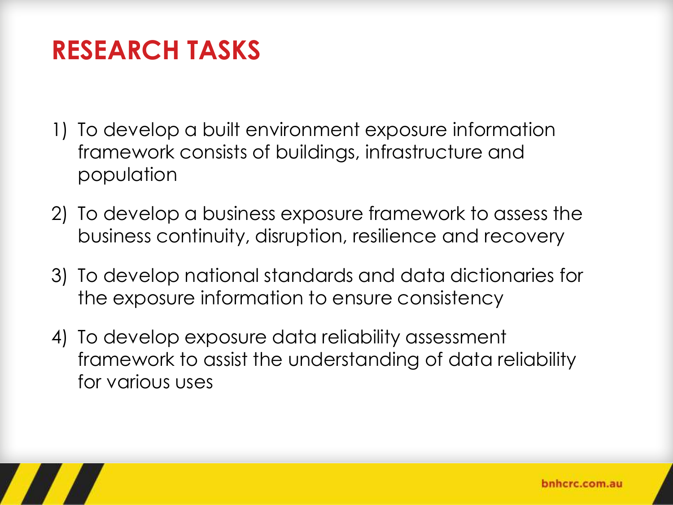## **RESEARCH TASKS**

- 1) To develop a built environment exposure information framework consists of buildings, infrastructure and population
- 2) To develop a business exposure framework to assess the business continuity, disruption, resilience and recovery
- 3) To develop national standards and data dictionaries for the exposure information to ensure consistency
- 4) To develop exposure data reliability assessment framework to assist the understanding of data reliability for various uses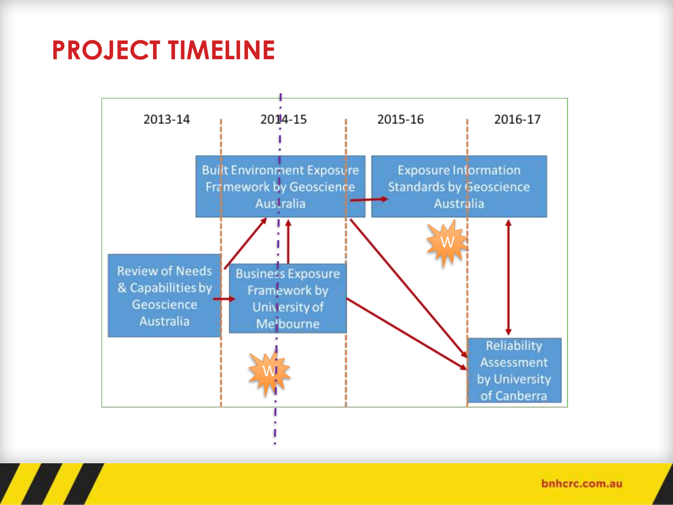## **PROJECT TIMELINE**



bnhcrc.com.au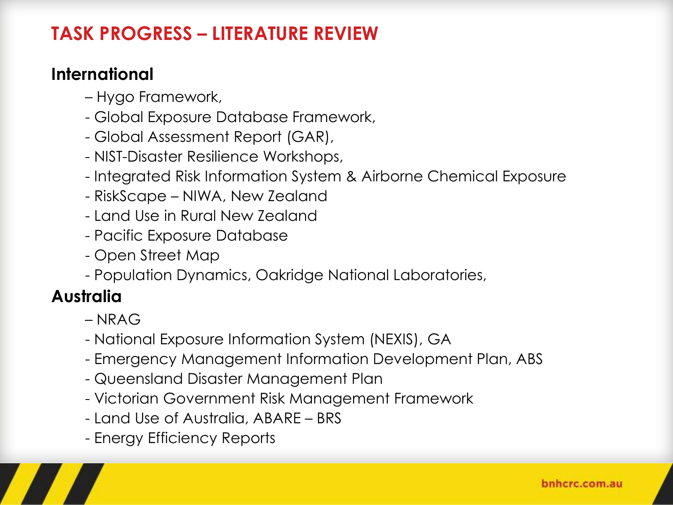### **TASK PROGRESS – LITERATURE REVIEW**

#### **International**

- Hygo Framework,
- Global Exposure Database Framework,
- Global Assessment Report (GAR),
- NIST-Disaster Resilience Workshops,
- Integrated Risk Information System & Airborne Chemical Exposure
- RiskScape NIWA, New Zealand
- Land Use in Rural New Zealand
- Pacific Exposure Database
- Open Street Map
- Population Dynamics, Oakridge National Laboratories,

### **Australia**

- NRAG
- National Exposure Information System (NEXIS), GA
- Emergency Management Information Development Plan, ABS
- Queensland Disaster Management Plan
- Victorian Government Risk Management Framework
- Land Use of Australia, ABARE BRS
- Energy Efficiency Reports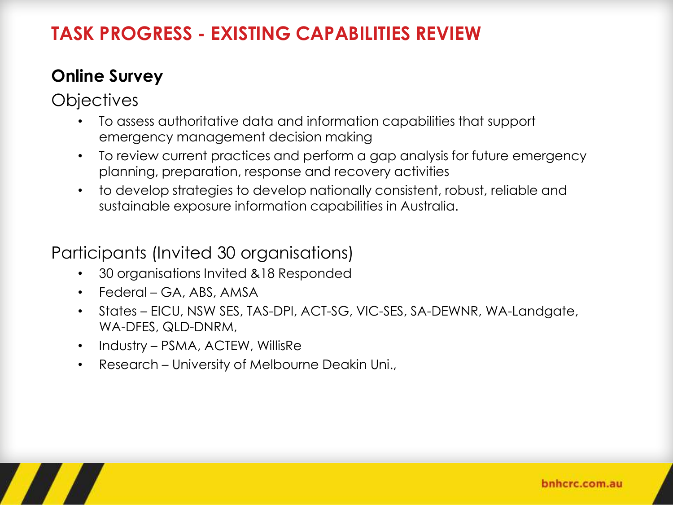### **TASK PROGRESS - EXISTING CAPABILITIES REVIEW**

#### **Online Survey**

**Objectives** 

- To assess authoritative data and information capabilities that support emergency management decision making
- To review current practices and perform a gap analysis for future emergency planning, preparation, response and recovery activities
- to develop strategies to develop nationally consistent, robust, reliable and sustainable exposure information capabilities in Australia.

#### Participants (Invited 30 organisations)

- 30 organisations Invited &18 Responded
- Federal GA, ABS, AMSA
- States EICU, NSW SES, TAS-DPI, ACT-SG, VIC-SES, SA-DEWNR, WA-Landgate, WA-DFES, QLD-DNRM,
- Industry PSMA, ACTEW, WillisRe
- Research University of Melbourne Deakin Uni.,

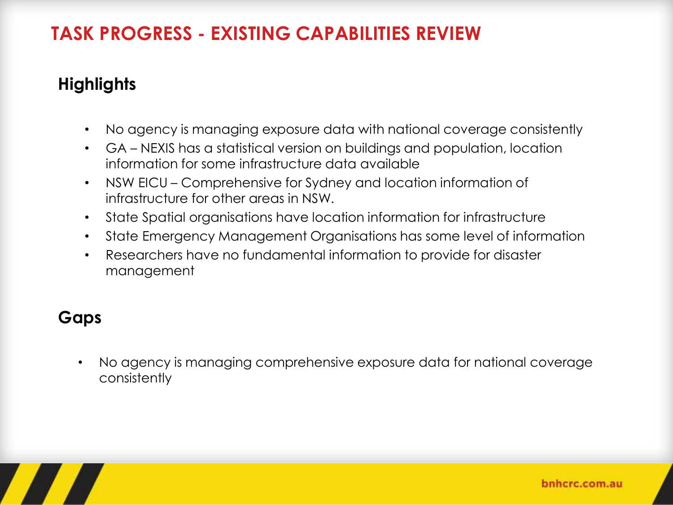### **TASK PROGRESS - EXISTING CAPABILITIES REVIEW**

#### **Highlights**

- No agency is managing exposure data with national coverage consistently
- GA NEXIS has a statistical version on buildings and population, location information for some infrastructure data available
- NSW EICU Comprehensive for Sydney and location information of infrastructure for other areas in NSW.
- State Spatial organisations have location information for infrastructure
- State Emergency Management Organisations has some level of information
- Researchers have no fundamental information to provide for disaster management

#### **Gaps**

• No agency is managing comprehensive exposure data for national coverage consistently

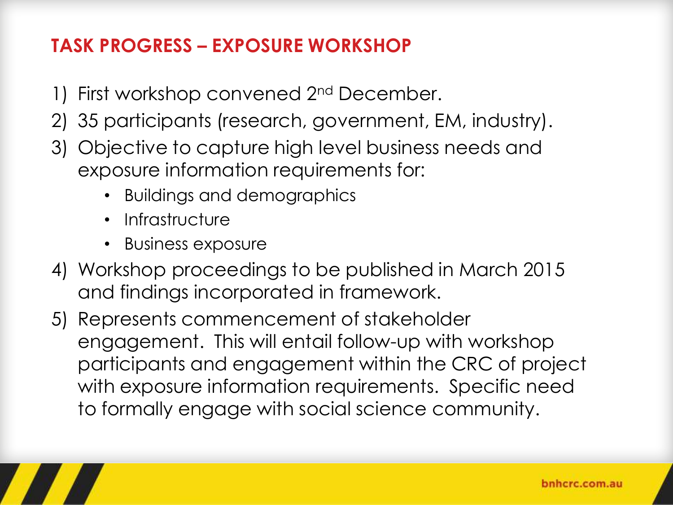### **TASK PROGRESS – EXPOSURE WORKSHOP**

- 1) First workshop convened 2nd December.
- 2) 35 participants (research, government, EM, industry).
- 3) Objective to capture high level business needs and exposure information requirements for:
	- Buildings and demographics
	- Infrastructure
	- Business exposure
- 4) Workshop proceedings to be published in March 2015 and findings incorporated in framework.
- 5) Represents commencement of stakeholder engagement. This will entail follow-up with workshop participants and engagement within the CRC of project with exposure information requirements. Specific need to formally engage with social science community.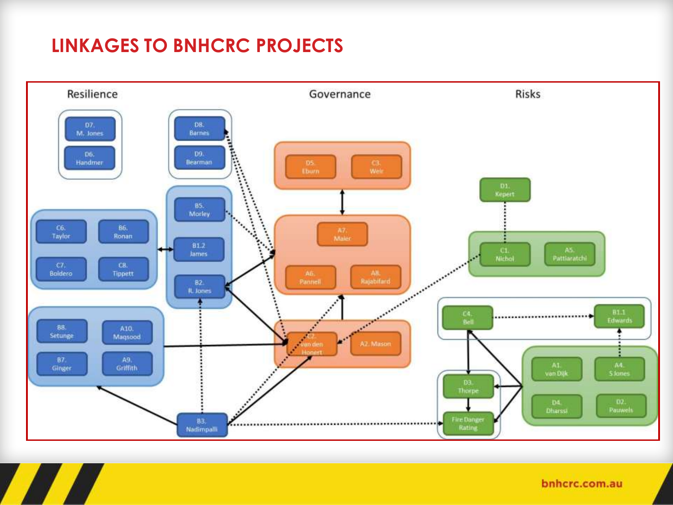### **LINKAGES TO BNHCRC PROJECTS**



bnhcrc.com.au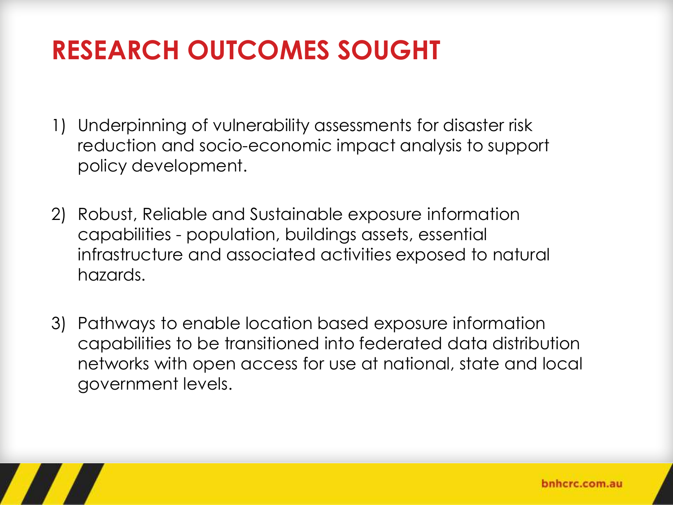# **RESEARCH OUTCOMES SOUGHT**

- 1) Underpinning of vulnerability assessments for disaster risk reduction and socio-economic impact analysis to support policy development.
- 2) Robust, Reliable and Sustainable exposure information capabilities - population, buildings assets, essential infrastructure and associated activities exposed to natural hazards.
- 3) Pathways to enable location based exposure information capabilities to be transitioned into federated data distribution networks with open access for use at national, state and local government levels.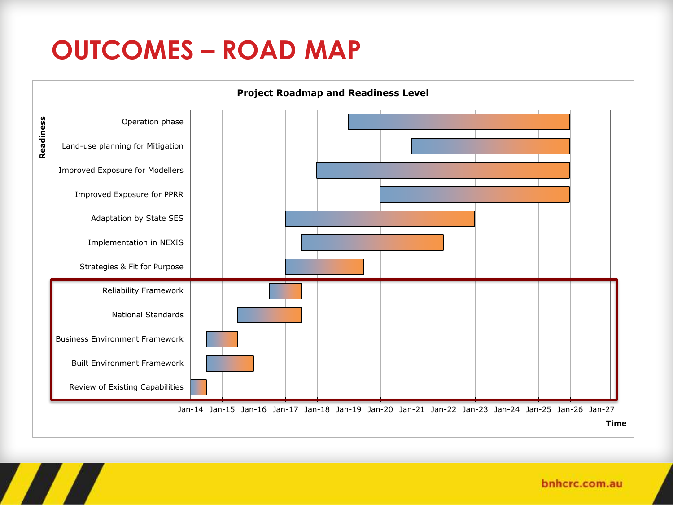## **OUTCOMES – ROAD MAP**



bnhcrc.com.au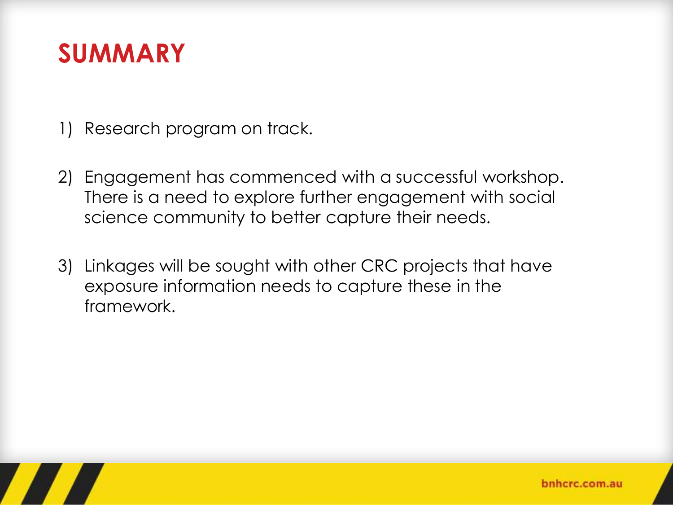### **SUMMARY**

- 1) Research program on track.
- 2) Engagement has commenced with a successful workshop. There is a need to explore further engagement with social science community to better capture their needs.
- 3) Linkages will be sought with other CRC projects that have exposure information needs to capture these in the framework.